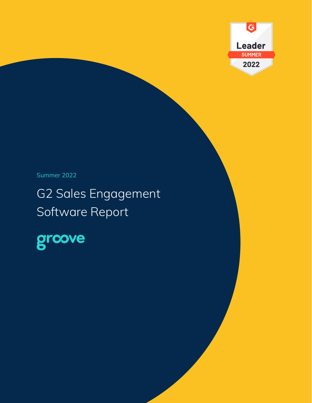

# Summer 2022

# G2 Sales Engagement Software Report

grcove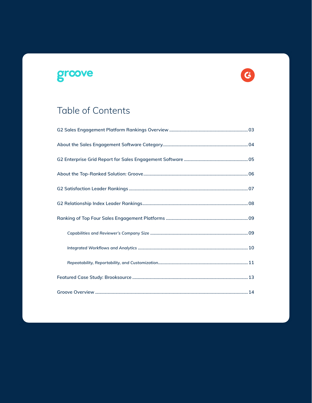# groove



# Table of Contents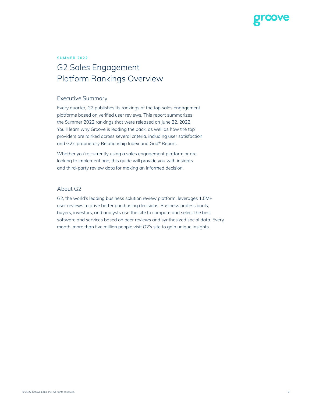

#### **SUMMER 2022**

# G2 Sales Engagement Platform Rankings Overview

#### Executive Summary

Every quarter, G2 publishes its rankings of the top sales engagement platforms based on verified user reviews. This report summarizes the Summer 2022 rankings that were released on June 22, 2022. You'll learn why Groove is leading the pack, as well as how the top providers are ranked across several criteria, including user satisfaction and G2's proprietary Relationship Index and Grid® Report.

Whether you're currently using a sales engagement platform or are looking to implement one, this guide will provide you with insights and third-party review data for making an informed decision.

#### About G2

G2, the world's leading business solution review platform, leverages 1.5M+ user reviews to drive better purchasing decisions. Business professionals, buyers, investors, and analysts use the site to compare and select the best software and services based on peer reviews and synthesized social data. Every month, more than five million people visit G2's site to gain unique insights.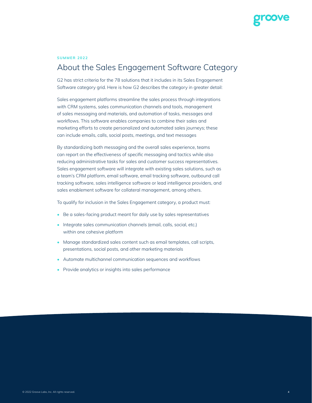

#### **SUMMER 2022**

# About the Sales Engagement Software Category

G2 has strict criteria for the 78 solutions that it includes in its Sales Engagement Software category grid. Here is how G2 describes the category in greater detail:

Sales engagement platforms streamline the sales process through integrations with CRM systems, sales communication channels and tools, management of sales messaging and materials, and automation of tasks, messages and workflows. This software enables companies to combine their sales and marketing efforts to create personalized and automated sales journeys; these can include emails, calls, social posts, meetings, and text messages

By standardizing both messaging and the overall sales experience, teams can report on the effectiveness of specific messaging and tactics while also reducing administrative tasks for sales and customer success representatives. Sales engagement software will integrate with existing sales solutions, such as a team's CRM platform, email software, email tracking software, outbound call tracking software, sales intelligence software or lead intelligence providers, and sales enablement software for collateral management, among others.

To qualify for inclusion in the Sales Engagement category, a product must:

- Be a sales-facing product meant for daily use by sales representatives
- Integrate sales communication channels (email, calls, social, etc.) within one cohesive platform
- Manage standardized sales content such as email templates, call scripts, presentations, social posts, and other marketing materials
- Automate multichannel communication sequences and workflows
- Provide analytics or insights into sales performance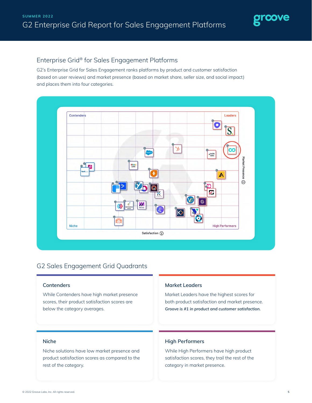

### Enterprise Grid® for Sales Engagement Platforms

G2's Enterprise Grid for Sales Engagement ranks platforms by product and customer satisfaction (based on user reviews) and market presence (based on market share, seller size, and social impact) and places them into four categories.



#### G2 Sales Engagement Grid Quadrants

#### **Contenders**

While Contenders have high market presence scores, their product satisfaction scores are below the category averages.

#### **Market Leaders**

Market Leaders have the highest scores for both product satisfaction and market presence. *Groove is #1 in product and customer satisfaction.*

#### **Niche**

Niche solutions have low market presence and product satisfaction scores as compared to the rest of the category.

#### **High Performers**

While High Performers have high product satisfaction scores, they trail the rest of the category in market presence.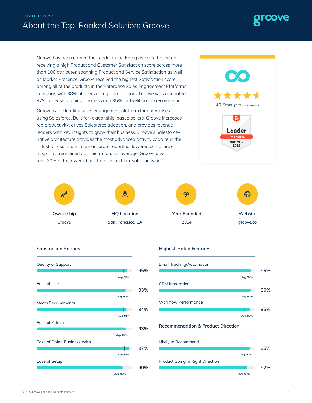## About the Top-Ranked Solution: Groove **SUMMER 2022**

Groove has been named the Leader in the Enterprise Grid based on receiving a high Product and Customer Satisfaction score across more than 100 attributes spanning Product and Service Satisfaction as well as Market Presence. Groove received the highest Satisfaction score among all of the products in the Enterprise Sales Engagement Platforms category, with 98% of users rating it 4 or 5 stars. Groove was also rated 97% for ease of doing business and 95% for likelihood to recommend.

Groove is the leading sales engagement platform for enterprises using Salesforce. Built for relationship-based sellers, Groove increases rep productivity, drives Salesforce adoption, and provides revenue leaders with key insights to grow their business. Groove's Salesforcenative architecture provides the most advanced activity capture in the industry, resulting in more accurate reporting, lowered compliance risk, and streamlined administration. On average, Groove gives reps 20% of their week back to focus on high-value activities.











**4.7 Stars** *(2,283 reviews)*

 $\mathbf{G}$ 

**Leader Interprise SUMMER**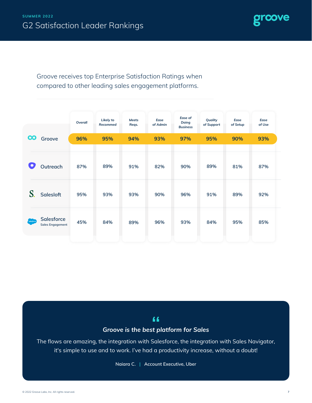

Groove receives top Enterprise Satisfaction Ratings when compared to other leading sales engagement platforms.

|                            |                                       | Overall | Likely to<br>Recommed | <b>Meets</b><br>Reqs. | Ease<br>of Admin | Ease of<br>Doing<br><b>Business</b> | Quality<br>of Support | Ease<br>of Setup | Ease<br>of Use |
|----------------------------|---------------------------------------|---------|-----------------------|-----------------------|------------------|-------------------------------------|-----------------------|------------------|----------------|
| <b>CO</b>                  | Groove                                | 96%     | 95%                   | 94%                   | 93%              | 97%                                 | 95%                   | 90%              | 93%            |
|                            | Outreach                              | 87%     | 89%                   | 91%                   | 82%              | 90%                                 | 89%                   | 81%              | 87%            |
|                            | <b>Salesloft</b>                      | 95%     | 93%                   | 93%                   | 90%              | 96%                                 | 91%                   | 89%              | 92%            |
| .<br>  sales <i>f</i> oroi | Salesforce<br><b>Sales Engagement</b> | 45%     | 84%                   | 89%                   | 96%              | 93%                                 | 84%                   | 95%              | 85%            |

### $66$

#### *Groove is the best platform for Sales*

The flows are amazing, the integration with Salesforce, the integration with Sales Navigator, it's simple to use and to work. I've had a productivity increase, without a doubt!

**Naiara C. | Account Executive, Uber**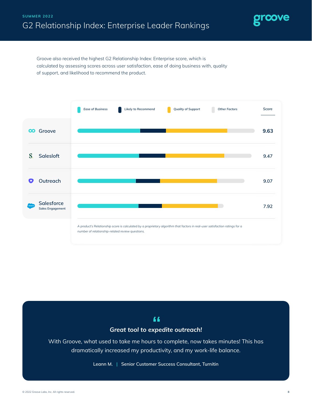

Groove also received the highest G2 Relationship Index: Enterprise score, which is calculated by assessing scores across user satisfaction, ease of doing business with, quality of support, and likelihood to recommend the product.



## $66$

#### *Great tool to expedite outreach!*

With Groove, what used to take me hours to complete, now takes minutes! This has dramatically increased my productivity, and my work-life balance.

**Leann M. | Senior Customer Success Consultant, Turnitin**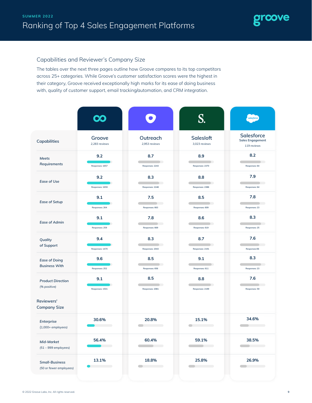

#### Capabilities and Reviewer's Company Size

The tables over the next three pages outline how Groove compares to its top competitors across 25+ categories. While Groove's customer satisfaction scores were the highest in their category, Groove received exceptionally high marks for its ease of doing business with, quality of customer support, email tracking/automation, and CRM integration.

|                                                  |                         |                                        |                                            | salesforce                                           |
|--------------------------------------------------|-------------------------|----------------------------------------|--------------------------------------------|------------------------------------------------------|
| Capabilities                                     | Groove<br>2,283 reviews | Outreach<br>2,953 reviews              | <b>Salesloft</b><br>3,023 reviews          | Salesforce<br><b>Sales Engagement</b><br>119 reviews |
| Meets<br>Requirements                            | 9.2<br>Responses: 1657  | 8.7<br>Responses: 2243                 | 8.9<br>Responses: 2370                     | 8.2<br>Responses: 64                                 |
| <b>Ease of Use</b>                               | 9.2<br>Responses: 1659  | 8.3<br>Responses: 2248                 | 8.8<br>Responses: 2386                     | 7.9<br>$\Box$<br>Responses: 64                       |
| <b>Ease of Setup</b>                             | 9.1<br>Responses: 264   | 7.5<br>Responses: 663                  | 8.5<br>Responses: 609                      | 7.8<br>$\rightarrow$<br>Responses: 23                |
| <b>Ease of Admin</b>                             | 9.1<br>Responses: 259   | 7.8<br>Responses: 669                  | 8.6<br>Responses: 619                      | 8.3<br>Responses: 25                                 |
| Quality<br>of Support                            | 9.4<br>Responses: 1470  | 8.3<br>$\Box$<br>Responses: 2043       | 8.7<br>D<br>Responses: 2191                | 7.6<br>Responses:56                                  |
| <b>Ease of Doing</b><br><b>Business With</b>     | 9.6<br>Responses: 252   | 8.5<br>$\rightarrow$<br>Responses: 656 | 9.1<br>Responses: 611                      | 8.3<br>Responses: 23                                 |
| <b>Product Direction</b><br>(% positive)         | 9.1<br>Responses: 1501  | 8.5<br>۰<br>Responses: 2081            | 8.8<br>Responses: 2199                     | 7.6<br>Responses: 59                                 |
| Reviewers'<br><b>Company Size</b>                |                         |                                        |                                            |                                                      |
| Enterprise<br>$(1,000+$ employees)               | 30.6%                   | 20.8%                                  | 15.1%<br>and the control of the control of | 34.6%                                                |
| Mid-Market<br>$(51 - 999$ employees)             | 56.4%                   | 60.4%                                  | 59.1%                                      | 38.5%                                                |
| <b>Small-Business</b><br>(50 or fewer employees) | 13.1%                   | 18.8%                                  | 25.8%<br>$\qquad \qquad \blacksquare$      | 26.9%                                                |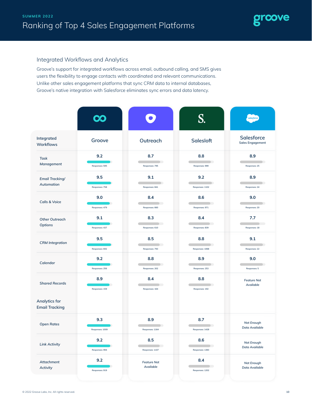

#### Integrated Workflows and Analytics

Groove's support for integrated workflows across email, outbound calling, and SMS gives users the flexibility to engage contacts with coordinated and relevant communications. Unlike other sales engagement platforms that sync CRM data to internal databases, Groove's native integration with Salesforce eliminates sync errors and data latency.

|                                        | $\mathbf{C}$           |                                                   | S.                           | salesforce                            |
|----------------------------------------|------------------------|---------------------------------------------------|------------------------------|---------------------------------------|
| Integrated<br>Workflows                | Groove                 | Outreach                                          | Salesloft                    | Salesforce<br><b>Sales Engagement</b> |
| <b>Task</b><br>Management              | 9.2<br>Responses: 595  | 8.7<br>۰<br>Responses: 795                        | 8.8<br>r.<br>Responses: 999  | 8.9<br>Responses: 25                  |
| <b>Email Tracking/</b><br>Automation   | 9.5<br>Responses: 758  | 9.1<br>Responses: 841                             | 9.2<br>Responses: 1102       | 8.9<br>Responses: 24                  |
| <b>Calls &amp; Voice</b>               | 9.0<br>Responses: 479  | 8.4<br>$\overline{\phantom{a}}$<br>Responses: 660 | 8.6<br>O)<br>Responses: 971  | 9.0<br>Responses: 20                  |
| <b>Other Outreach</b><br>Options       | 9.1<br>Responses: 437  | 8.3<br>$\rightarrow$<br>Responses: 610            | 8.4<br>Responses: 839        | 7.7<br>Responses: 18                  |
| <b>CRM</b> Integration                 | 9.5<br>Responses: 692  | 8.5<br>۰<br>Responses: 793                        | 8.8<br>r.<br>Responses: 1068 | 9.1<br>Responses: 22                  |
| Calendar                               | 9.2<br>Responses: 256  | 8.8<br>$\mathcal{L}$<br>Responses: 202            | 8.9<br>r.<br>Responses: 253  | 9.0<br>Responses: 5                   |
| <b>Shared Records</b>                  | 8.9<br>Responses: 159  | 8.4<br>$\rightarrow$<br>Responses: 164            | 8.8<br>Responses: 192        | <b>Feature Not</b><br>Available       |
| Analytics for<br><b>Email Tracking</b> |                        |                                                   |                              |                                       |
| <b>Open Rates</b>                      | 9.3<br>Responses: 1009 | 8.9<br>Responses: 1164                            | 8.7<br>Responses: 1428       | Not Enough<br>Data Available          |
| <b>Link Activity</b>                   | 9.2<br>Responses: 994  | 8.5<br>$\rightarrow$<br>Responses: 1107           | 8.6<br>Responses: 1383       | Not Enough<br>Data Available          |
| Attachment<br>Activity                 | 9.2<br>Responses: 919  | <b>Feature Not</b><br>Available                   | 8.4<br>∍<br>Responses: 1202  | Not Enough<br>Data Available          |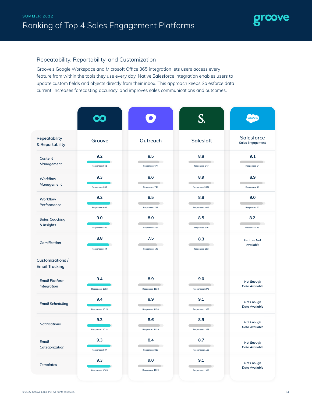

#### Repeatability, Reportability, and Customization

Groove's Google Workspace and Microsoft Office 365 integration lets users access every feature from within the tools they use every day. Native Salesforce integration enables users to update custom fields and objects directly from their inbox. This approach keeps Salesforce data current, increases forecasting accuracy, and improves sales communications and outcomes.

|                                                  |                        |                                        | S                            | salesforce                            |
|--------------------------------------------------|------------------------|----------------------------------------|------------------------------|---------------------------------------|
| Repeatability<br>& Reportability                 | Groove                 | Outreach                               | Salesloft                    | Salesforce<br><b>Sales Engagement</b> |
| Content<br>Management                            | 9.2<br>Responses: 561  | 8.5<br>۰<br>Responses: 677             | 8.8<br>Responses: 947        | 9.1<br>Responses: 24                  |
| Workflow<br>Management                           | 9.3<br>Responses: 643  | 8.6<br>$\mathcal{C}$<br>Responses: 745 | 8.9<br>Responses: 1032       | 8.9<br>Responses: 23                  |
| Workflow<br>Performance                          | 9.2<br>Responses: 606  | 8.5<br>$\rightarrow$<br>Responses: 727 | 8.8<br>Responses: 1015       | 9.0<br>Responses: 27                  |
| <b>Sales Coaching</b><br>& Insights              | 9.0<br>Responses: 406  | 8.0<br>Responses: 587                  | 8.5<br>r.<br>Responses: 816  | 8.2<br>Responses: 25                  |
| Gamification                                     | 8.8<br>Responses: 144  | 7.5<br>Responses: 145                  | 8.3<br>e e<br>Responses: 203 | <b>Feature Not</b><br>Available       |
| <b>Customizations /</b><br><b>Email Tracking</b> |                        |                                        |                              |                                       |
| <b>Email Platform</b><br>Integration             | 9.4<br>Responses: 1063 | 8.9<br>Responses: 1138                 | 9.0<br>Responses: 1376       | Not Enough<br>Data Available          |
| <b>Email Scheduling</b>                          | 9.4<br>Responses: 1015 | 8.9<br>D.<br>Responses: 1158           | 9.1<br>Responses: 1363       | Not Enough<br>Data Available          |
| <b>Notifications</b>                             | 9.3<br>Responses: 1018 | 8.6<br>e e<br>Responses: 1139          | 8.9<br>Responses: 1359       | Not Enough<br>Data Available          |
| Email<br>Categorization                          | 9.3<br>Responses: 807  | 8.4<br>o i<br>Responses: 810           | 8.7<br>Responses: 1160       | <b>Not Enough</b><br>Data Available   |
| <b>Templates</b>                                 | 9.3<br>Responses: 1065 | 9.0<br>Responses: 1179                 | 9.1<br>Responses: 1383       | Not Enough<br>Data Available          |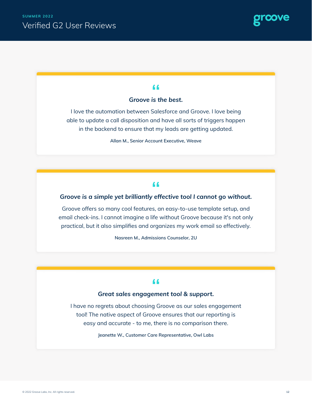

#### 44

#### *Groove is the best.*

I love the automation between Salesforce and Groove. I love being able to update a call disposition and have all sorts of triggers happen in the backend to ensure that my leads are getting updated.

**Allan M., Senior Account Executive, Weave**

#### 44

#### *Groove is a simple yet brilliantly effective tool I cannot go without.*

Groove offers so many cool features, an easy-to-use template setup, and email check-ins. I cannot imagine a life without Groove because it's not only practical, but it also simplifies and organizes my work email so effectively.

**Nasreen M., Admissions Counselor, 2U**

#### "

#### *Great sales engagement tool & support.*

I have no regrets about choosing Groove as our sales engagement tool! The native aspect of Groove ensures that our reporting is easy and accurate - to me, there is no comparison there.

**Jeanette W., Customer Care Representative, Owl Labs**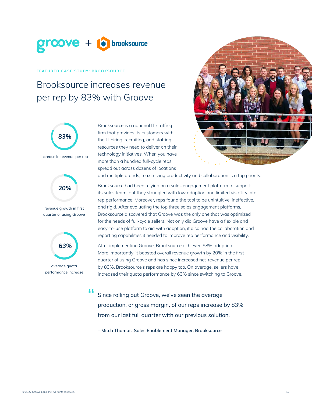

#### **FEATURED CASE STUDY: BROOKSOURCE**

# Brooksource increases revenue per rep by 83% with Groove



increase in revenue per rep



revenue growth in first quarter of using Groove



average quota performance increase

44

Brooksource is a national IT staffing firm that provides its customers with the IT hiring, recruiting, and staffing resources they need to deliver on their technology initiatives. When you have more than a hundred full-cycle reps spread out across dozens of locations



and multiple brands, maximizing productivity and collaboration is a top priority.

Brooksource had been relying on a sales engagement platform to support its sales team, but they struggled with low adoption and limited visibility into rep performance. Moreover, reps found the tool to be unintuitive, ineffective, and rigid. After evaluating the top three sales engagement platforms, Brooksource discovered that Groove was the only one that was optimized for the needs of full-cycle sellers. Not only did Groove have a flexible and easy-to-use platform to aid with adoption, it also had the collaboration and reporting capabilities it needed to improve rep performance and visibility.

After implementing Groove, Brooksource achieved 98% adoption. More importantly, it boosted overall revenue growth by 20% in the first quarter of using Groove and has since increased net-revenue per rep by 83%. Brooksource's reps are happy too. On average, sellers have increased their quota performance by 63% since switching to Groove.

Since rolling out Groove, we've seen the average production, or gross margin, of our reps increase by 83% from our last full quarter with our previous solution.

**– Mitch Thomas, Sales Enablement Manager, Brooksource**